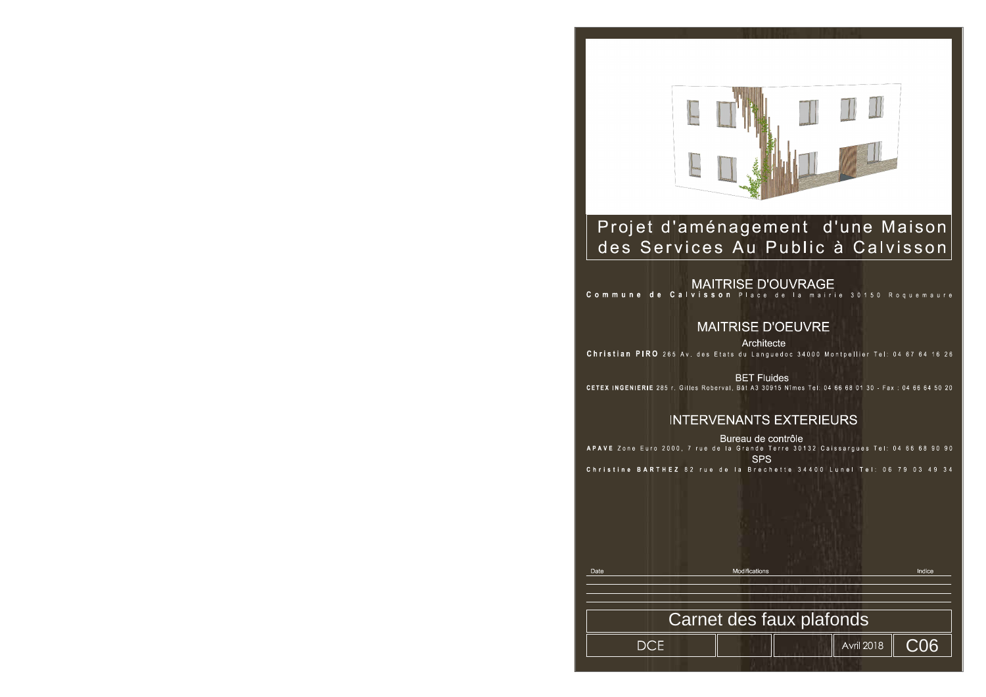

## Projet d'aménagement d'une Maison des Services Au Public à Calvisson

**MAITRISE D'OEUVRE** Architecte Christian PIRO 265 Av. des Etats du Languedoc 34000 Montpellier Tel: 04 67 64 16 26

**BET Fluides** CETEX INGENIERIE 285 r. Gilles Roberval, Bât A3 30915 Nîmes Tel: 04 66 68 01 30 - Fax: 04 66 64 50 20

### **INTERVENANTS EXTERIEURS**

Bureau de contrôle APAVE Zone Euro 2000, 7 rue de la Grande Terre 30132 Caissargues Tel: 04 66 68 90 90 **SPS** Christine BARTHEZ 82 rue de la Brechette 34400 Lunel Tel: 06 79 03 49 34

Modifications<br>
Modifications<br>
Carnet des faux plafonds Date

**DCE** 



# MAITRISE D'OUVRAGE<br>Commune de Calvisson Place de la mairie 30150 Roquemaure

Indice

C06

**Avril 2018**